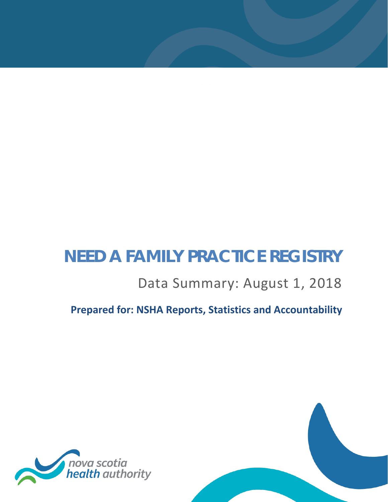# **NEED A FAMILY PRACTICE REGISTRY**

# Data Summary: August 1, 2018

**Prepared for: NSHA Reports, Statistics and Accountability**

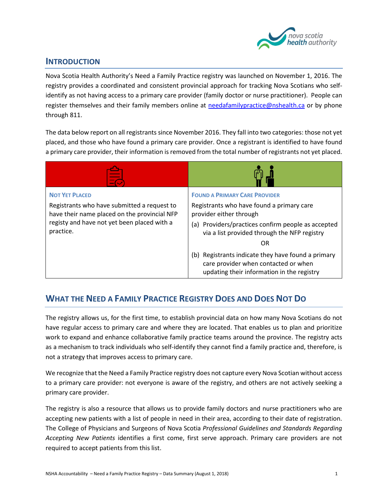

#### **INTRODUCTION**

Nova Scotia Health Authority's Need a Family Practice registry was launched on November 1, 2016. The registry provides a coordinated and consistent provincial approach for tracking Nova Scotians who selfidentify as not having access to a primary care provider (family doctor or nurse practitioner). People can register themselves and their family members online at [needafamilypractice@nshealth.ca](mailto:needafamilypractice@nshealth.ca) or by phone through 811.

The data below report on all registrants since November 2016. They fall into two categories: those not yet placed, and those who have found a primary care provider. Once a registrant is identified to have found a primary care provider, their information is removed from the total number of registrants not yet placed.

| <b>NOT YET PLACED</b><br>Registrants who have submitted a request to<br>have their name placed on the provincial NFP<br>registy and have not yet been placed with a<br>practice. | <b>FOUND A PRIMARY CARE PROVIDER</b><br>Registrants who have found a primary care<br>provider either through<br>(a) Providers/practices confirm people as accepted<br>via a list provided through the NFP registry<br>OR<br>(b) Registrants indicate they have found a primary<br>care provider when contacted or when<br>updating their information in the registry |
|----------------------------------------------------------------------------------------------------------------------------------------------------------------------------------|----------------------------------------------------------------------------------------------------------------------------------------------------------------------------------------------------------------------------------------------------------------------------------------------------------------------------------------------------------------------|

# **WHAT THE NEED A FAMILY PRACTICE REGISTRY DOES AND DOES NOT DO**

The registry allows us, for the first time, to establish provincial data on how many Nova Scotians do not have regular access to primary care and where they are located. That enables us to plan and prioritize work to expand and enhance collaborative family practice teams around the province. The registry acts as a mechanism to track individuals who self-identify they cannot find a family practice and, therefore, is not a strategy that improves access to primary care.

We recognize that the Need a Family Practice registry does not capture every Nova Scotian without access to a primary care provider: not everyone is aware of the registry, and others are not actively seeking a primary care provider.

The registry is also a resource that allows us to provide family doctors and nurse practitioners who are accepting new patients with a list of people in need in their area, according to their date of registration. The College of Physicians and Surgeons of Nova Scotia *Professional Guidelines and Standards Regarding Accepting New Patients* identifies a first come, first serve approach. Primary care providers are not required to accept patients from this list.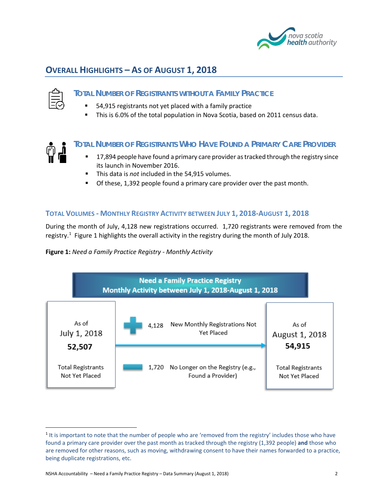

# **OVERALL HIGHLIGHTS – AS OF AUGUST 1, 2018**



#### **TOTAL NUMBER OF REGISTRANTS WITHOUT A FAMILY PRACTICE**

- 54,915 registrants not yet placed with a family practice
- This is 6.0% of the total population in Nova Scotia, based on 2011 census data.



#### **TOTAL NUMBER OF REGISTRANTS WHO HAVE FOUND A PRIMARY CARE PROVIDER**

- 17,894 people have found a primary care provider as tracked through the registry since its launch in November 2016.
- This data is *not* included in the 54,915 volumes.
- Of these, 1,392 people found a primary care provider over the past month.

#### **TOTAL VOLUMES - MONTHLY REGISTRY ACTIVITY BETWEEN JULY 1, 2018-AUGUST 1, 2018**

During the month of July, 4,128 new registrations occurred. 1,720 registrants were removed from the registry.<sup>[1](#page-2-1)</sup> [Figure 1](#page-2-0) highlights the overall activity in the registry during the month of July 2018.

<span id="page-2-0"></span>**Figure 1:** *Need a Family Practice Registry - Monthly Activity*



<span id="page-2-1"></span><sup>&</sup>lt;sup>1</sup> It is important to note that the number of people who are 'removed from the registry' includes those who have found a primary care provider over the past month as tracked through the registry (1,392 people) **and** those who are removed for other reasons, such as moving, withdrawing consent to have their names forwarded to a practice, being duplicate registrations, etc.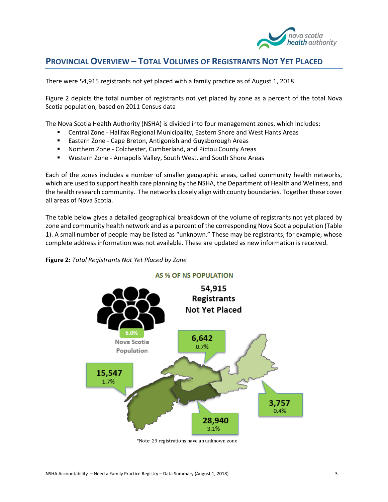

## **PROVINCIAL OVERVIEW – TOTAL VOLUMES OF REGISTRANTS NOT YET PLACED**

There were 54,915 registrants not yet placed with a family practice as of August 1, 2018.

[Figure 2](#page-3-0) depicts the total number of registrants not yet placed by zone as a percent of the total Nova Scotia population, based on 2011 Census data

The Nova Scotia Health Authority (NSHA) is divided into four management zones, which includes:

- Central Zone Halifax Regional Municipality, Eastern Shore and West Hants Areas
- **Eastern Zone Cape Breton, Antigonish and Guysborough Areas**
- Northern Zone Colchester, Cumberland, and Pictou County Areas
- Western Zone Annapolis Valley, South West, and South Shore Areas

Each of the zones includes a number of smaller geographic areas, called community health networks, which are used to support health care planning by the NSHA, the Department of Health and Wellness, and the health research community. The networks closely align with county boundaries. Together these cover all areas of Nova Scotia.

The table below gives a detailed geographical breakdown of the volume of registrants not yet placed by zone and community health network and as a percent of the corresponding Nova Scotia population [\(Table](#page-4-0)  [1\)](#page-4-0). A small number of people may be listed as "unknown." These may be registrants, for example, whose complete address information was not available. These are updated as new information is received.

<span id="page-3-0"></span>



\*Note: 29 registrations have an unknown zone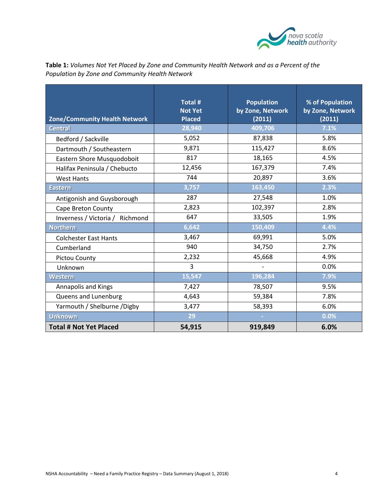

<span id="page-4-0"></span>

| Table 1: Volumes Not Yet Placed by Zone and Community Health Network and as a Percent of the |  |
|----------------------------------------------------------------------------------------------|--|
| Population by Zone and Community Health Network                                              |  |

| <b>Zone/Community Health Network</b> | Total #<br><b>Not Yet</b><br><b>Placed</b> | <b>Population</b><br>by Zone, Network<br>(2011) | % of Population<br>by Zone, Network<br>(2011) |
|--------------------------------------|--------------------------------------------|-------------------------------------------------|-----------------------------------------------|
| <b>Central</b>                       | 28,940                                     | 409,706                                         | 7.1%                                          |
| Bedford / Sackville                  | 5,052                                      | 87,838                                          | 5.8%                                          |
| Dartmouth / Southeastern             | 9,871                                      | 115,427                                         | 8.6%                                          |
| Eastern Shore Musquodoboit           | 817                                        | 18,165                                          | 4.5%                                          |
| Halifax Peninsula / Chebucto         | 12,456                                     | 167,379                                         | 7.4%                                          |
| <b>West Hants</b>                    | 744                                        | 20,897                                          | 3.6%                                          |
| <b>Eastern</b>                       | 3,757                                      | 163,450                                         | 2.3%                                          |
| Antigonish and Guysborough           | 287                                        | 27,548                                          | 1.0%                                          |
| Cape Breton County                   | 2,823                                      | 102,397                                         | 2.8%                                          |
| Richmond<br>Inverness / Victoria /   | 647                                        | 33,505                                          | 1.9%                                          |
| <b>Northern</b>                      | 6,642                                      | 150,409                                         | 4.4%                                          |
| <b>Colchester East Hants</b>         | 3,467                                      | 69,991                                          | 5.0%                                          |
| Cumberland                           | 940                                        | 34,750                                          | 2.7%                                          |
| Pictou County                        | 2,232                                      | 45,668                                          | 4.9%                                          |
| Unknown                              | 3                                          |                                                 | 0.0%                                          |
| <b>Western</b>                       | 15,547                                     | 196,284                                         | 7.9%                                          |
| <b>Annapolis and Kings</b>           | 7,427                                      | 78,507                                          | 9.5%                                          |
| Queens and Lunenburg                 | 4,643                                      | 59,384                                          | 7.8%                                          |
| Yarmouth / Shelburne / Digby         | 3,477                                      | 58,393                                          | 6.0%                                          |
| <b>Unknown</b>                       | 29                                         |                                                 | 0.0%                                          |
| <b>Total # Not Yet Placed</b>        | 54,915                                     | 919,849                                         | 6.0%                                          |